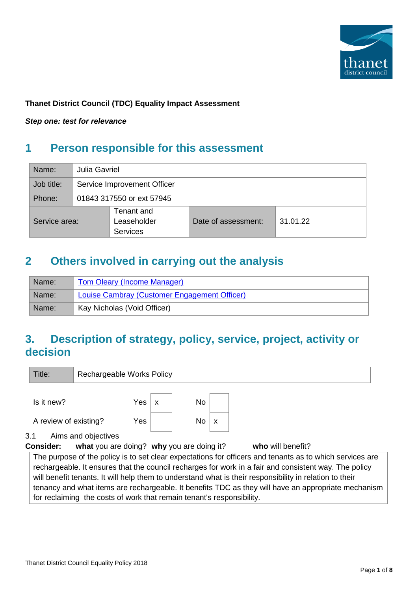

### **Thanet District Council (TDC) Equality Impact Assessment**

*Step one: test for relevance*

# **1 Person responsible for this assessment**

| Name:           | Julia Gavriel |                             |                     |          |  |  |  |
|-----------------|---------------|-----------------------------|---------------------|----------|--|--|--|
| Job title:      |               | Service Improvement Officer |                     |          |  |  |  |
| Phone:          |               | 01843 317550 or ext 57945   |                     |          |  |  |  |
|                 |               | Tenant and                  |                     |          |  |  |  |
| Service area:   |               | Leaseholder                 | Date of assessment: | 31.01.22 |  |  |  |
| <b>Services</b> |               |                             |                     |          |  |  |  |

## **2 Others involved in carrying out the analysis**

| Name: | <b>Tom Oleary (Income Manager)</b>           |  |  |  |  |
|-------|----------------------------------------------|--|--|--|--|
| Name: | Louise Cambray (Customer Engagement Officer) |  |  |  |  |
| Name: | Kay Nicholas (Void Officer)                  |  |  |  |  |

## **3. Description of strategy, policy, service, project, activity or decision**

| Title:                                                                                                                                                                                                                                                                                                                                                                    | Rechargeable Works Policy |                           |           |                           |                   |  |  |  |  |  |
|---------------------------------------------------------------------------------------------------------------------------------------------------------------------------------------------------------------------------------------------------------------------------------------------------------------------------------------------------------------------------|---------------------------|---------------------------|-----------|---------------------------|-------------------|--|--|--|--|--|
| Is it new?                                                                                                                                                                                                                                                                                                                                                                | Yes                       | $\boldsymbol{\mathsf{x}}$ | <b>No</b> |                           |                   |  |  |  |  |  |
| A review of existing?                                                                                                                                                                                                                                                                                                                                                     | Yes                       |                           | No        | $\boldsymbol{\mathsf{x}}$ |                   |  |  |  |  |  |
| 3.1<br>Aims and objectives<br><b>Consider:</b>                                                                                                                                                                                                                                                                                                                            |                           |                           |           |                           | who will benefit? |  |  |  |  |  |
| what you are doing? why you are doing it?<br>The purpose of the policy is to set clear expectations for officers and tenants as to which services are<br>rechargeable. It ensures that the council recharges for work in a fair and consistent way. The policy<br>will benefit tenants. It will help them to understand what is their responsibility in relation to their |                           |                           |           |                           |                   |  |  |  |  |  |

tenancy and what items are rechargeable. It benefits TDC as they will have an appropriate mechanism for reclaiming the costs of work that remain tenant's responsibility.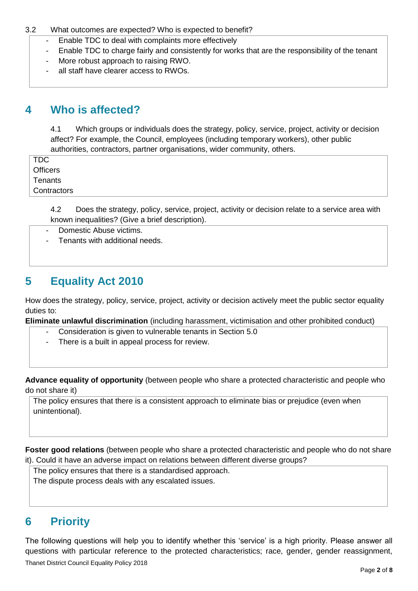#### 3.2 What outcomes are expected? Who is expected to benefit?

- Enable TDC to deal with complaints more effectively
- Enable TDC to charge fairly and consistently for works that are the responsibility of the tenant
- More robust approach to raising RWO.
- all staff have clearer access to RWOs.

### **4 Who is affected?**

4.1 Which groups or individuals does the strategy, policy, service, project, activity or decision affect? For example, the Council, employees (including temporary workers), other public authorities, contractors, partner organisations, wider community, others.

TDC **Officers Tenants Contractors** 

> 4.2 Does the strategy, policy, service, project, activity or decision relate to a service area with known inequalities? (Give a brief description).

- Domestic Abuse victims.
- Tenants with additional needs.

### **5 Equality Act 2010**

How does the strategy, policy, service, project, activity or decision actively meet the public sector equality duties to:

**Eliminate unlawful discrimination** (including harassment, victimisation and other prohibited conduct)

- Consideration is given to vulnerable tenants in Section 5.0
- There is a built in appeal process for review.

**Advance equality of opportunity** (between people who share a protected characteristic and people who do not share it)

The policy ensures that there is a consistent approach to eliminate bias or prejudice (even when unintentional).

**Foster good relations** (between people who share a protected characteristic and people who do not share it). Could it have an adverse impact on relations between different diverse groups?

The policy ensures that there is a standardised approach.

The dispute process deals with any escalated issues.

## **6 Priority**

Thanet District Council Equality Policy 2018 The following questions will help you to identify whether this 'service' is a high priority. Please answer all questions with particular reference to the protected characteristics; race, gender, gender reassignment,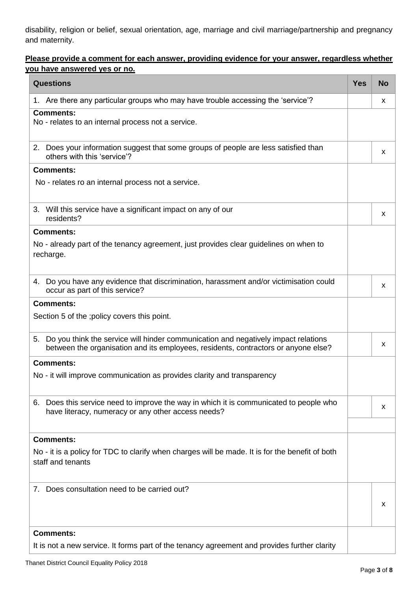disability, religion or belief, sexual orientation, age, marriage and civil marriage/partnership and pregnancy and maternity.

### **Please provide a comment for each answer, providing evidence for your answer, regardless whether you have answered yes or no.**

| <b>Questions</b>                                                                                                                                                               |  |   |  |  |  |
|--------------------------------------------------------------------------------------------------------------------------------------------------------------------------------|--|---|--|--|--|
| 1. Are there any particular groups who may have trouble accessing the 'service'?                                                                                               |  | x |  |  |  |
| <b>Comments:</b><br>No - relates to an internal process not a service.                                                                                                         |  |   |  |  |  |
| 2. Does your information suggest that some groups of people are less satisfied than<br>others with this 'service'?                                                             |  | x |  |  |  |
| <b>Comments:</b>                                                                                                                                                               |  |   |  |  |  |
| No - relates ro an internal process not a service.                                                                                                                             |  |   |  |  |  |
| 3. Will this service have a significant impact on any of our<br>residents?                                                                                                     |  | x |  |  |  |
| <b>Comments:</b>                                                                                                                                                               |  |   |  |  |  |
| No - already part of the tenancy agreement, just provides clear guidelines on when to<br>recharge.                                                                             |  |   |  |  |  |
| 4. Do you have any evidence that discrimination, harassment and/or victimisation could<br>occur as part of this service?                                                       |  |   |  |  |  |
| <b>Comments:</b>                                                                                                                                                               |  |   |  |  |  |
| Section 5 of the ; policy covers this point.                                                                                                                                   |  |   |  |  |  |
| Do you think the service will hinder communication and negatively impact relations<br>5.<br>between the organisation and its employees, residents, contractors or anyone else? |  | x |  |  |  |
| <b>Comments:</b>                                                                                                                                                               |  |   |  |  |  |
| No - it will improve communication as provides clarity and transparency                                                                                                        |  |   |  |  |  |
| 6. Does this service need to improve the way in which it is communicated to people who<br>have literacy, numeracy or any other access needs?                                   |  |   |  |  |  |
| <b>Comments:</b>                                                                                                                                                               |  |   |  |  |  |
| No - it is a policy for TDC to clarify when charges will be made. It is for the benefit of both<br>staff and tenants                                                           |  |   |  |  |  |
| 7. Does consultation need to be carried out?                                                                                                                                   |  |   |  |  |  |
| <b>Comments:</b><br>It is not a new service. It forms part of the tenancy agreement and provides further clarity                                                               |  |   |  |  |  |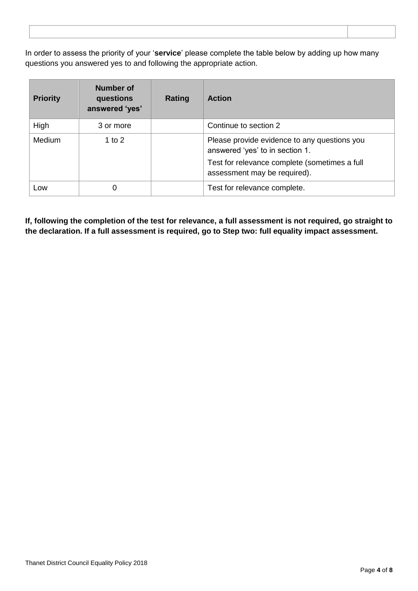In order to assess the priority of your '**service**' please complete the table below by adding up how many questions you answered yes to and following the appropriate action.

| <b>Priority</b> | <b>Number of</b><br>questions<br>answered 'yes' | Rating | <b>Action</b>                                                                   |
|-----------------|-------------------------------------------------|--------|---------------------------------------------------------------------------------|
| High            | 3 or more                                       |        | Continue to section 2                                                           |
| <b>Medium</b>   | 1 to $2$                                        |        | Please provide evidence to any questions you<br>answered 'yes' to in section 1. |
|                 |                                                 |        | Test for relevance complete (sometimes a full<br>assessment may be required).   |
| Low             | 0                                               |        | Test for relevance complete.                                                    |

**If, following the completion of the test for relevance, a full assessment is not required, go straight to the declaration. If a full assessment is required, go to Step two: full equality impact assessment.**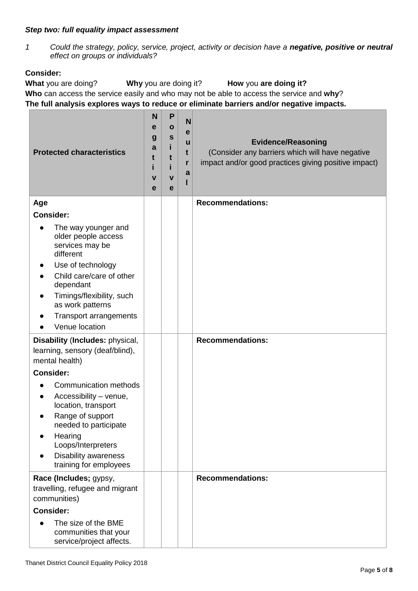#### *Step two: full equality impact assessment*

*1 Could the strategy, policy, service, project, activity or decision have a negative, positive or neutral effect on groups or individuals?*

### **Consider:**

**What** you are doing? **Why** you are doing it? **How** you **are doing it? Who** can access the service easily and who may not be able to access the service and **why**? **The full analysis explores ways to reduce or eliminate barriers and/or negative impacts.**

| <b>Protected characteristics</b>                                                                                                                                                                                     |  | P<br>O<br>S<br>t<br>$\mathbf v$<br>e | N<br>е<br>u<br>t<br>r<br>a | <b>Evidence/Reasoning</b><br>(Consider any barriers which will have negative<br>impact and/or good practices giving positive impact) |
|----------------------------------------------------------------------------------------------------------------------------------------------------------------------------------------------------------------------|--|--------------------------------------|----------------------------|--------------------------------------------------------------------------------------------------------------------------------------|
| Age                                                                                                                                                                                                                  |  |                                      |                            | <b>Recommendations:</b>                                                                                                              |
| <b>Consider:</b>                                                                                                                                                                                                     |  |                                      |                            |                                                                                                                                      |
| The way younger and<br>older people access<br>services may be<br>different<br>Use of technology                                                                                                                      |  |                                      |                            |                                                                                                                                      |
| Child care/care of other<br>dependant                                                                                                                                                                                |  |                                      |                            |                                                                                                                                      |
| Timings/flexibility, such<br>as work patterns<br>Transport arrangements<br>Venue location                                                                                                                            |  |                                      |                            |                                                                                                                                      |
|                                                                                                                                                                                                                      |  |                                      |                            |                                                                                                                                      |
| Disability (Includes: physical,<br>learning, sensory (deaf/blind),<br>mental health)                                                                                                                                 |  |                                      |                            | <b>Recommendations:</b>                                                                                                              |
| <b>Consider:</b>                                                                                                                                                                                                     |  |                                      |                            |                                                                                                                                      |
| <b>Communication methods</b><br>Accessibility - venue,<br>location, transport<br>Range of support<br>needed to participate<br>Hearing<br>Loops/Interpreters<br><b>Disability awareness</b><br>training for employees |  |                                      |                            |                                                                                                                                      |
| Race (Includes; gypsy,                                                                                                                                                                                               |  |                                      |                            | <b>Recommendations:</b>                                                                                                              |
| travelling, refugee and migrant<br>communities)                                                                                                                                                                      |  |                                      |                            |                                                                                                                                      |
| <b>Consider:</b>                                                                                                                                                                                                     |  |                                      |                            |                                                                                                                                      |
| The size of the BME<br>communities that your<br>service/project affects.                                                                                                                                             |  |                                      |                            |                                                                                                                                      |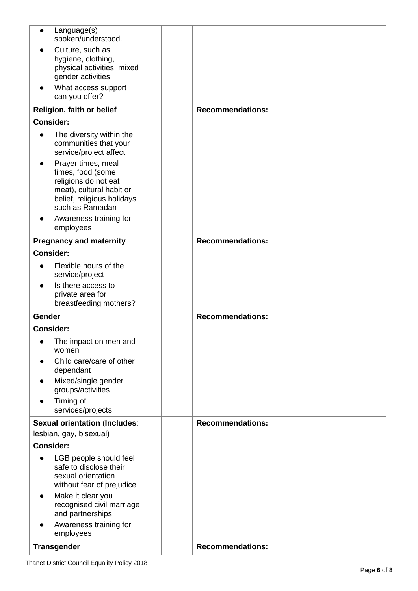| Language(s)<br>$\bullet$<br>spoken/understood.                                                                                               |  |                         |
|----------------------------------------------------------------------------------------------------------------------------------------------|--|-------------------------|
| Culture, such as<br>hygiene, clothing,                                                                                                       |  |                         |
| physical activities, mixed<br>gender activities.                                                                                             |  |                         |
| What access support                                                                                                                          |  |                         |
| can you offer?                                                                                                                               |  |                         |
| Religion, faith or belief                                                                                                                    |  | <b>Recommendations:</b> |
| <b>Consider:</b>                                                                                                                             |  |                         |
| The diversity within the<br>communities that your<br>service/project affect                                                                  |  |                         |
| Prayer times, meal<br>times, food (some<br>religions do not eat<br>meat), cultural habit or<br>belief, religious holidays<br>such as Ramadan |  |                         |
| Awareness training for<br>employees                                                                                                          |  |                         |
| <b>Pregnancy and maternity</b>                                                                                                               |  | <b>Recommendations:</b> |
| <b>Consider:</b>                                                                                                                             |  |                         |
| Flexible hours of the<br>service/project                                                                                                     |  |                         |
| Is there access to<br>private area for<br>breastfeeding mothers?                                                                             |  |                         |
| Gender                                                                                                                                       |  | <b>Recommendations:</b> |
| <b>Consider:</b>                                                                                                                             |  |                         |
| The impact on men and<br>women                                                                                                               |  |                         |
| Child care/care of other<br>dependant                                                                                                        |  |                         |
| Mixed/single gender<br>groups/activities                                                                                                     |  |                         |
| Timing of<br>services/projects                                                                                                               |  |                         |
| <b>Sexual orientation (Includes:</b>                                                                                                         |  | <b>Recommendations:</b> |
| lesbian, gay, bisexual)                                                                                                                      |  |                         |
| <b>Consider:</b>                                                                                                                             |  |                         |
| LGB people should feel<br>$\bullet$<br>safe to disclose their<br>sexual orientation<br>without fear of prejudice                             |  |                         |
| Make it clear you<br>recognised civil marriage<br>and partnerships                                                                           |  |                         |
| Awareness training for<br>employees                                                                                                          |  |                         |
| <b>Transgender</b>                                                                                                                           |  | <b>Recommendations:</b> |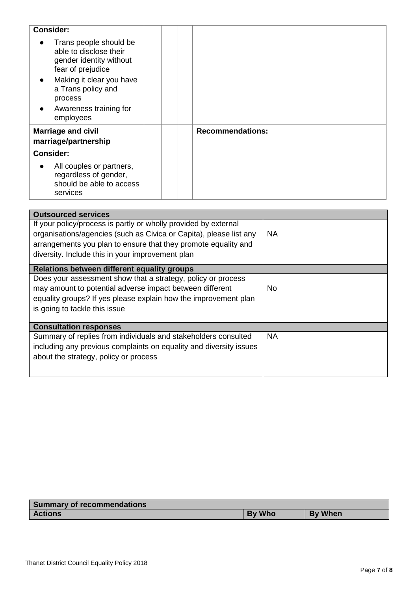| <b>Consider:</b>                                                                                 |                         |
|--------------------------------------------------------------------------------------------------|-------------------------|
| Trans people should be<br>able to disclose their<br>gender identity without<br>fear of prejudice |                         |
| Making it clear you have<br>$\bullet$<br>a Trans policy and<br>process                           |                         |
| Awareness training for<br>$\bullet$<br>employees                                                 |                         |
| <b>Marriage and civil</b><br>marriage/partnership                                                | <b>Recommendations:</b> |
| <b>Consider:</b>                                                                                 |                         |
| All couples or partners,<br>regardless of gender,<br>should be able to access<br>services        |                         |

| <b>Outsourced services</b>                                         |           |
|--------------------------------------------------------------------|-----------|
| If your policy/process is partly or wholly provided by external    |           |
| organisations/agencies (such as Civica or Capita), please list any | <b>NA</b> |
| arrangements you plan to ensure that they promote equality and     |           |
| diversity. Include this in your improvement plan                   |           |
| Relations between different equality groups                        |           |
| Does your assessment show that a strategy, policy or process       |           |
| may amount to potential adverse impact between different           | No.       |
| equality groups? If yes please explain how the improvement plan    |           |
| is going to tackle this issue                                      |           |
|                                                                    |           |
| <b>Consultation responses</b>                                      |           |
| Summary of replies from individuals and stakeholders consulted     | <b>NA</b> |
| including any previous complaints on equality and diversity issues |           |
| about the strategy, policy or process                              |           |
|                                                                    |           |
|                                                                    |           |

| <b>Summary of recommendations</b> |               |                |  |  |  |  |
|-----------------------------------|---------------|----------------|--|--|--|--|
| <b>Actions</b>                    | <b>By Who</b> | <b>By When</b> |  |  |  |  |